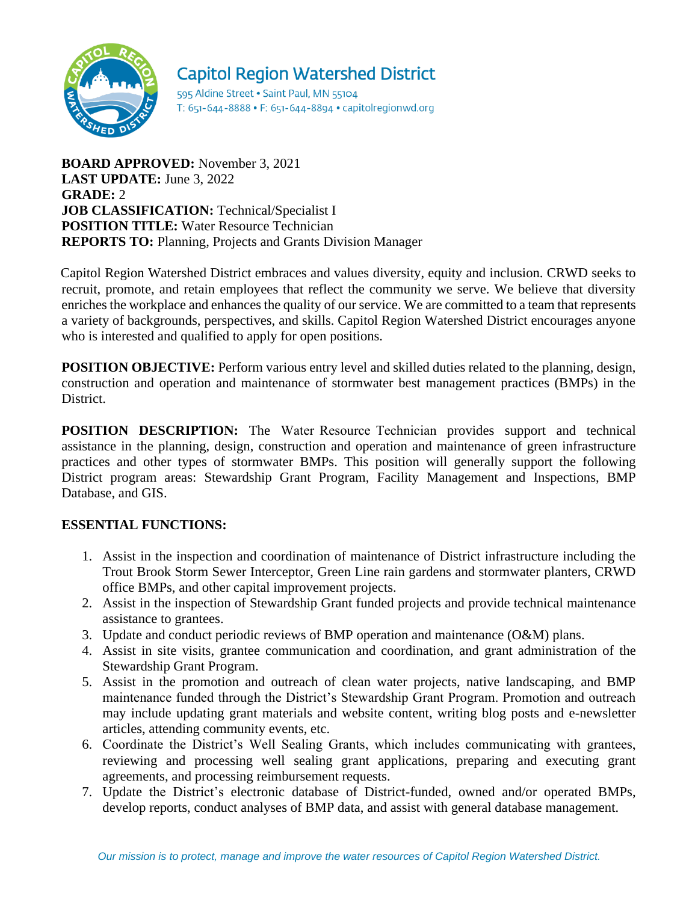

# **Capitol Region Watershed District**

595 Aldine Street . Saint Paul, MN 55104 T: 651-644-8888 • F: 651-644-8894 • capitolregionwd.org

**BOARD APPROVED:** November 3, 2021 **LAST UPDATE:** June 3, 2022 **GRADE:** 2 **JOB CLASSIFICATION:** Technical/Specialist I **POSITION TITLE:** Water Resource Technician **REPORTS TO:** Planning, Projects and Grants Division Manager

Capitol Region Watershed District embraces and values diversity, equity and inclusion. CRWD seeks to recruit, promote, and retain employees that reflect the community we serve. We believe that diversity enriches the workplace and enhances the quality of our service. We are committed to a team that represents a variety of backgrounds, perspectives, and skills. Capitol Region Watershed District encourages anyone who is interested and qualified to apply for open positions.

**POSITION OBJECTIVE:** Perform various entry level and skilled duties related to the planning, design, construction and operation and maintenance of stormwater best management practices (BMPs) in the District.

**POSITION DESCRIPTION:** The Water Resource Technician provides support and technical assistance in the planning, design, construction and operation and maintenance of green infrastructure practices and other types of stormwater BMPs. This position will generally support the following District program areas: Stewardship Grant Program, Facility Management and Inspections, BMP Database, and GIS.

## **ESSENTIAL FUNCTIONS:**

- 1. Assist in the inspection and coordination of maintenance of District infrastructure including the Trout Brook Storm Sewer Interceptor, Green Line rain gardens and stormwater planters, CRWD office BMPs, and other capital improvement projects.
- 2. Assist in the inspection of Stewardship Grant funded projects and provide technical maintenance assistance to grantees.
- 3. Update and conduct periodic reviews of BMP operation and maintenance (O&M) plans.
- 4. Assist in site visits, grantee communication and coordination, and grant administration of the Stewardship Grant Program.
- 5. Assist in the promotion and outreach of clean water projects, native landscaping, and BMP maintenance funded through the District's Stewardship Grant Program. Promotion and outreach may include updating grant materials and website content, writing blog posts and e-newsletter articles, attending community events, etc.
- 6. Coordinate the District's Well Sealing Grants, which includes communicating with grantees, reviewing and processing well sealing grant applications, preparing and executing grant agreements, and processing reimbursement requests.
- 7. Update the District's electronic database of District-funded, owned and/or operated BMPs, develop reports, conduct analyses of BMP data, and assist with general database management.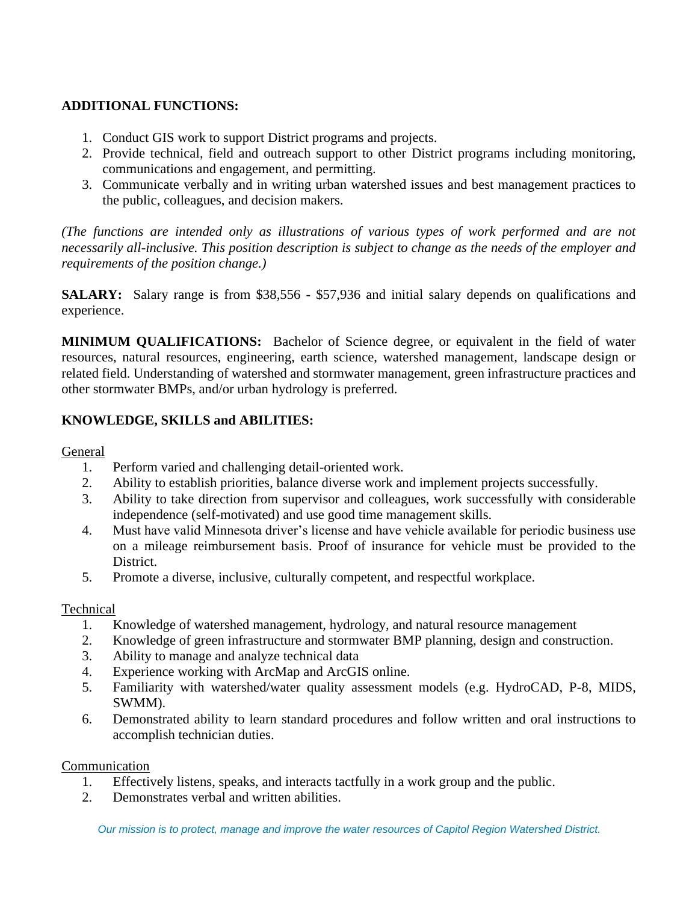# **ADDITIONAL FUNCTIONS:**

- 1. Conduct GIS work to support District programs and projects.
- 2. Provide technical, field and outreach support to other District programs including monitoring, communications and engagement, and permitting.
- 3. Communicate verbally and in writing urban watershed issues and best management practices to the public, colleagues, and decision makers.

*(The functions are intended only as illustrations of various types of work performed and are not necessarily all-inclusive. This position description is subject to change as the needs of the employer and requirements of the position change.)*

**SALARY:** Salary range is from \$38,556 - \$57,936 and initial salary depends on qualifications and experience.

**MINIMUM QUALIFICATIONS:** Bachelor of Science degree, or equivalent in the field of water resources, natural resources, engineering, earth science, watershed management, landscape design or related field. Understanding of watershed and stormwater management, green infrastructure practices and other stormwater BMPs, and/or urban hydrology is preferred.

# **KNOWLEDGE, SKILLS and ABILITIES:**

#### General

- 1. Perform varied and challenging detail-oriented work.
- 2. Ability to establish priorities, balance diverse work and implement projects successfully.
- 3. Ability to take direction from supervisor and colleagues, work successfully with considerable independence (self-motivated) and use good time management skills.
- 4. Must have valid Minnesota driver's license and have vehicle available for periodic business use on a mileage reimbursement basis. Proof of insurance for vehicle must be provided to the District.
- 5. Promote a diverse, inclusive, culturally competent, and respectful workplace.

#### Technical

- 1. Knowledge of watershed management, hydrology, and natural resource management
- 2. Knowledge of green infrastructure and stormwater BMP planning, design and construction.
- 3. Ability to manage and analyze technical data
- 4. Experience working with ArcMap and ArcGIS online.
- 5. Familiarity with watershed/water quality assessment models (e.g. HydroCAD, P-8, MIDS, SWMM).
- 6. Demonstrated ability to learn standard procedures and follow written and oral instructions to accomplish technician duties.

#### Communication

- 1. Effectively listens, speaks, and interacts tactfully in a work group and the public.
- 2. Demonstrates verbal and written abilities.

*Our mission is to protect, manage and improve the water resources of Capitol Region Watershed District.*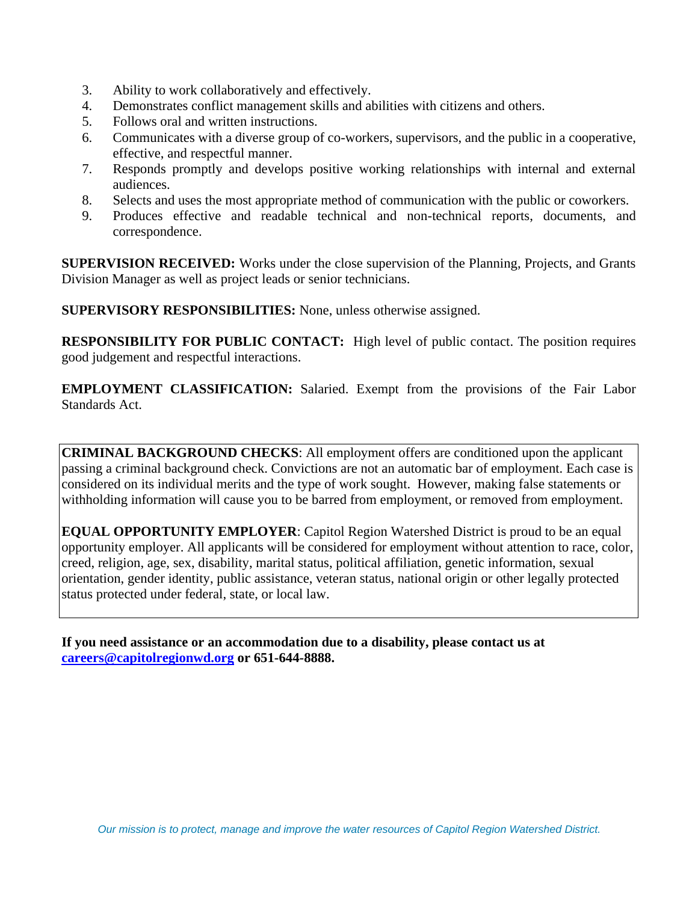- 3. Ability to work collaboratively and effectively.
- 4. Demonstrates conflict management skills and abilities with citizens and others.
- 5. Follows oral and written instructions.
- 6. Communicates with a diverse group of co-workers, supervisors, and the public in a cooperative, effective, and respectful manner.
- 7. Responds promptly and develops positive working relationships with internal and external audiences.
- 8. Selects and uses the most appropriate method of communication with the public or coworkers.
- 9. Produces effective and readable technical and non-technical reports, documents, and correspondence.

**SUPERVISION RECEIVED:** Works under the close supervision of the Planning, Projects, and Grants Division Manager as well as project leads or senior technicians.

**SUPERVISORY RESPONSIBILITIES:** None, unless otherwise assigned.

**RESPONSIBILITY FOR PUBLIC CONTACT:** High level of public contact. The position requires good judgement and respectful interactions.

**EMPLOYMENT CLASSIFICATION:** Salaried. Exempt from the provisions of the Fair Labor Standards Act.

**CRIMINAL BACKGROUND CHECKS**: All employment offers are conditioned upon the applicant passing a criminal background check. Convictions are not an automatic bar of employment. Each case is considered on its individual merits and the type of work sought. However, making false statements or withholding information will cause you to be barred from employment, or removed from employment.

**EQUAL OPPORTUNITY EMPLOYER**: Capitol Region Watershed District is proud to be an equal opportunity employer. All applicants will be considered for employment without attention to race, color, creed, religion, age, sex, disability, marital status, political affiliation, genetic information, sexual orientation, gender identity, public assistance, veteran status, national origin or other legally protected status protected under federal, state, or local law.

**If you need assistance or an accommodation due to a disability, please contact us at [careers@capitolregionwd.org](mailto:careers@capitolregionwd.org) or 651-644-8888.**